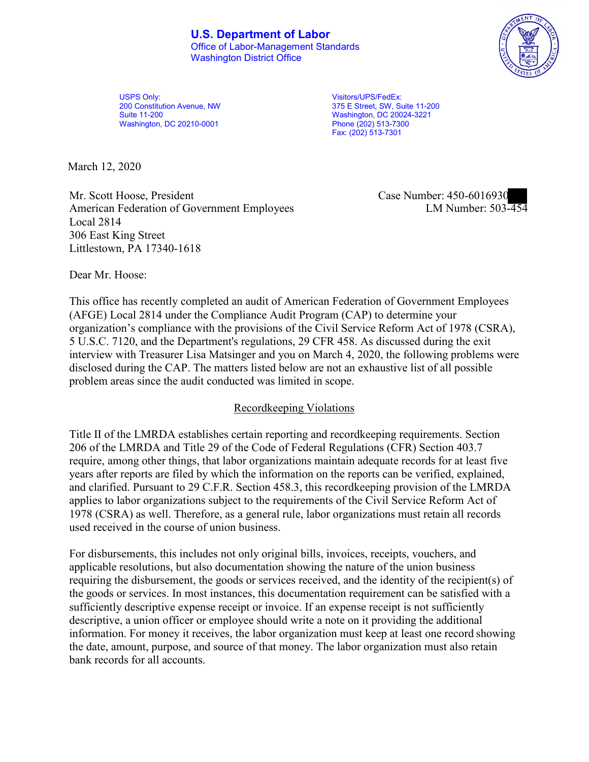

USPS Only: USPS Only: USPS Only: USPS Only: USPS Only: USPS Only: USPS Only: USPS Only: USPS Only: USPS ONLY: U<br>
200 Constitution Avenue, NW USPS ON Street, SW, Street, SW, Street, SW, Street, SW, Street, SW, Street, SW, S Washington, DC 20210-0001 **Phone (202)** 513-7300

200 Constitution Avenue, NW 375 E Street, SW, Suite 11-200 Washington, DC 20024-3221 Fax: (202) 513-7301

March 12, 2020

Mr. Scott Hoose, President Case Number: 450-6016930 American Federation of Government Employees Local 2814 306 East King Street Littlestown, PA 17340-1618

LM Number:  $503 - 454$ 

Dear Mr. Hoose:

This office has recently completed an audit of American Federation of Government Employees (AFGE) Local 2814 under the Compliance Audit Program (CAP) to determine your organization's compliance with the provisions of the Civil Service Reform Act of 1978 (CSRA), 5 U.S.C. 7120, and the Department's regulations, 29 CFR 458. As discussed during the exit interview with Treasurer Lisa Matsinger and you on March 4, 2020, the following problems were disclosed during the CAP. The matters listed below are not an exhaustive list of all possible problem areas since the audit conducted was limited in scope.

## Recordkeeping Violations

Title II of the LMRDA establishes certain reporting and recordkeeping requirements. Section 206 of the LMRDA and Title 29 of the Code of Federal Regulations (CFR) Section 403.7 require, among other things, that labor organizations maintain adequate records for at least five years after reports are filed by which the information on the reports can be verified, explained, and clarified. Pursuant to 29 C.F.R. Section 458.3, this recordkeeping provision of the LMRDA applies to labor organizations subject to the requirements of the Civil Service Reform Act of 1978 (CSRA) as well. Therefore, as a general rule, labor organizations must retain all records used received in the course of union business.

For disbursements, this includes not only original bills, invoices, receipts, vouchers, and applicable resolutions, but also documentation showing the nature of the union business requiring the disbursement, the goods or services received, and the identity of the recipient(s) of the goods or services. In most instances, this documentation requirement can be satisfied with a sufficiently descriptive expense receipt or invoice. If an expense receipt is not sufficiently descriptive, a union officer or employee should write a note on it providing the additional information. For money it receives, the labor organization must keep at least one record showing the date, amount, purpose, and source of that money. The labor organization must also retain bank records for all accounts.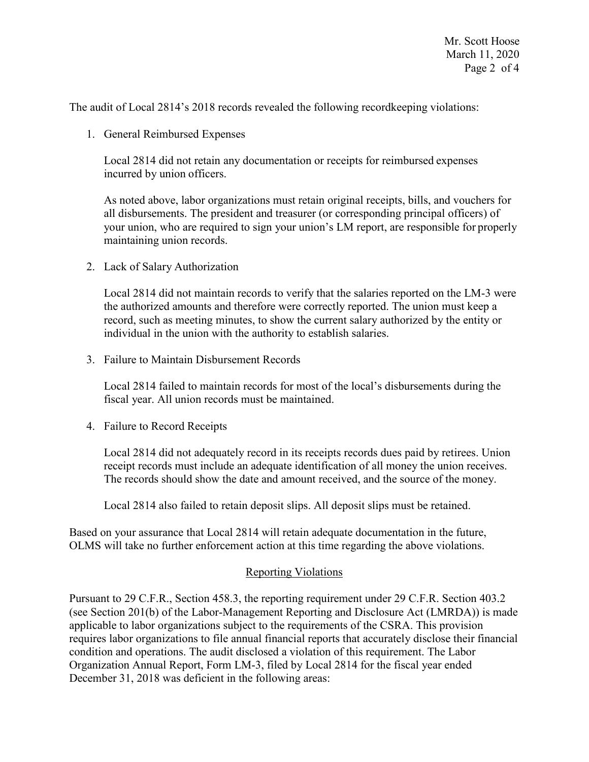The audit of Local 2814's 2018 records revealed the following recordkeeping violations:

1. General Reimbursed Expenses

Local 2814 did not retain any documentation or receipts for reimbursed expenses incurred by union officers.

As noted above, labor organizations must retain original receipts, bills, and vouchers for all disbursements. The president and treasurer (or corresponding principal officers) of your union, who are required to sign your union's LM report, are responsible for properly maintaining union records.

2. Lack of Salary Authorization

Local 2814 did not maintain records to verify that the salaries reported on the LM-3 were the authorized amounts and therefore were correctly reported. The union must keep a record, such as meeting minutes, to show the current salary authorized by the entity or individual in the union with the authority to establish salaries.

3. Failure to Maintain Disbursement Records

Local 2814 failed to maintain records for most of the local's disbursements during the fiscal year. All union records must be maintained.

4. Failure to Record Receipts

Local 2814 did not adequately record in its receipts records dues paid by retirees. Union receipt records must include an adequate identification of all money the union receives. The records should show the date and amount received, and the source of the money.

Local 2814 also failed to retain deposit slips. All deposit slips must be retained.

Based on your assurance that Local 2814 will retain adequate documentation in the future, OLMS will take no further enforcement action at this time regarding the above violations.

### Reporting Violations

Pursuant to 29 C.F.R., Section 458.3, the reporting requirement under 29 C.F.R. Section 403.2 (see Section 201(b) of the Labor-Management Reporting and Disclosure Act (LMRDA)) is made applicable to labor organizations subject to the requirements of the CSRA. This provision requires labor organizations to file annual financial reports that accurately disclose their financial condition and operations. The audit disclosed a violation of this requirement. The Labor Organization Annual Report, Form LM-3, filed by Local 2814 for the fiscal year ended December 31, 2018 was deficient in the following areas: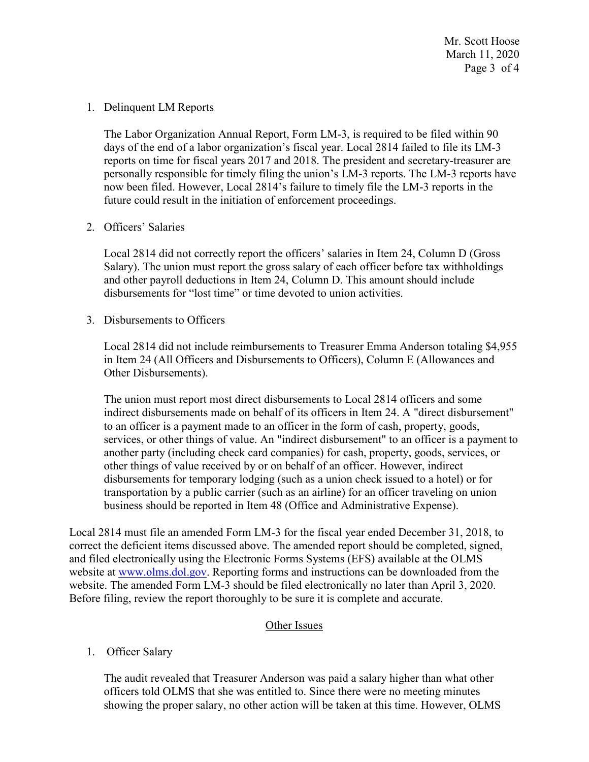Mr. Scott Hoose March 11, 2020 Page 3 of 4

#### 1. Delinquent LM Reports

The Labor Organization Annual Report, Form LM-3, is required to be filed within 90 days of the end of a labor organization's fiscal year. Local 2814 failed to file its LM-3 reports on time for fiscal years 2017 and 2018. The president and secretary-treasurer are personally responsible for timely filing the union's LM-3 reports. The LM-3 reports have now been filed. However, Local 2814's failure to timely file the LM-3 reports in the future could result in the initiation of enforcement proceedings.

2. Officers' Salaries

Local 2814 did not correctly report the officers' salaries in Item 24, Column D (Gross Salary). The union must report the gross salary of each officer before tax withholdings and other payroll deductions in Item 24, Column D. This amount should include disbursements for "lost time" or time devoted to union activities.

3. Disbursements to Officers

Local 2814 did not include reimbursements to Treasurer Emma Anderson totaling \$4,955 in Item 24 (All Officers and Disbursements to Officers), Column E (Allowances and Other Disbursements).

The union must report most direct disbursements to Local 2814 officers and some indirect disbursements made on behalf of its officers in Item 24. A "direct disbursement" to an officer is a payment made to an officer in the form of cash, property, goods, services, or other things of value. An "indirect disbursement" to an officer is a payment to another party (including check card companies) for cash, property, goods, services, or other things of value received by or on behalf of an officer. However, indirect disbursements for temporary lodging (such as a union check issued to a hotel) or for transportation by a public carrier (such as an airline) for an officer traveling on union business should be reported in Item 48 (Office and Administrative Expense).

Local 2814 must file an amended Form LM-3 for the fiscal year ended December 31, 2018, to correct the deficient items discussed above. The amended report should be completed, signed, and filed electronically using the Electronic Forms Systems (EFS) available at the OLMS website at [www.olms.dol.gov.](www.olms.dol.gov) Reporting forms and instructions can be downloaded from the website. The amended Form LM-3 should be filed electronically no later than April 3, 2020. Before filing, review the report thoroughly to be sure it is complete and accurate.

## Other Issues

1. Officer Salary

The audit revealed that Treasurer Anderson was paid a salary higher than what other officers told OLMS that she was entitled to. Since there were no meeting minutes showing the proper salary, no other action will be taken at this time. However, OLMS